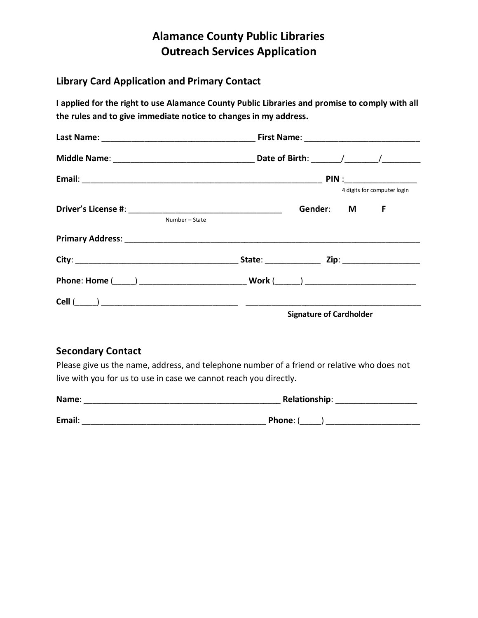# **Alamance County Public Libraries Outreach Services Application**

### **Library Card Application and Primary Contact**

**I applied for the right to use Alamance County Public Libraries and promise to comply with all the rules and to give immediate notice to changes in my address.**

| Number - State | 4 digits for computer login<br>Gender: M F |
|----------------|--------------------------------------------|
|                |                                            |
|                |                                            |
|                |                                            |
|                | <b>Signature of Cardholder</b>             |

## **Secondary Contact**

Please give us the name, address, and telephone number of a friend or relative who does not live with you for us to use in case we cannot reach you directly.

| Name:  | <b>Relationship:</b> |
|--------|----------------------|
| Email: | Phone: (             |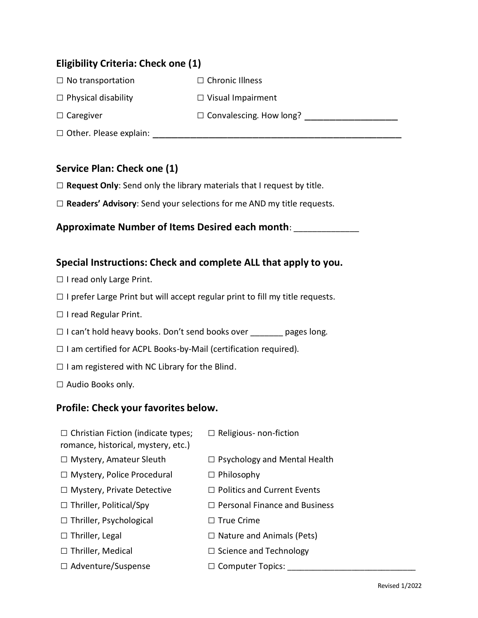## **Eligibility Criteria: Check one (1)**

- □ No transportation □ Chronic Illness
- □ Physical disability □ Visual Impairment
- 

- 
- □ Caregiver □ Convalescing. How long? △ □ Convalescing. How long?
- □ Other. Please explain: \_\_\_\_\_\_\_\_\_\_\_\_\_\_\_\_\_\_\_\_\_\_\_\_\_\_\_\_\_\_\_\_\_\_\_\_\_\_\_\_

# **Service Plan: Check one (1)**

- □ **Request Only**: Send only the library materials that I request by title.
- □ **Readers' Advisory**: Send your selections for me AND my title requests.

## **Approximate Number of Items Desired each month**: \_\_\_\_\_\_\_\_\_\_\_\_\_\_

### **Special Instructions: Check and complete ALL that apply to you.**

- □ I read only Large Print.
- $\Box$  I prefer Large Print but will accept regular print to fill my title requests.
- □ I read Regular Print.
- □ I can't hold heavy books. Don't send books over \_\_\_\_\_\_\_ pages long.
- $\square$  I am certified for ACPL Books-by-Mail (certification required).
- $\Box$  I am registered with NC Library for the Blind.
- □ Audio Books only.

### **Profile: Check your favorites below.**

- $\square$  Christian Fiction (indicate types; □ Religious- non-fiction
- romance, historical, mystery, etc.)
- 
- □ Mystery, Amateur Sleuth □ Psychology and Mental Health
- □ Mystery, Police Procedural □ Philosophy
- 
- 
- □ Thriller, Psychological □ True Crime
- 
- 
- □ Adventure/Suspense □ Computer Topics:
- 
- □ Mystery, Private Detective □ Politics and Current Events
- $\Box$  Thriller, Political/Spy  $\Box$  Personal Finance and Business
	-
- □ Thriller, Legal □ Nature and Animals (Pets)
- □ Thriller, Medical □ □ Science and Technology
	-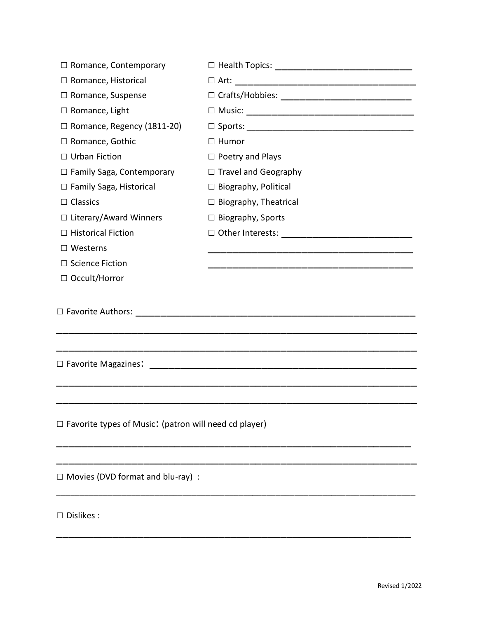| $\Box$ Romance, Contemporary                                 |                                                       |  |
|--------------------------------------------------------------|-------------------------------------------------------|--|
| □ Romance, Historical                                        |                                                       |  |
| $\Box$ Romance, Suspense                                     |                                                       |  |
| $\Box$ Romance, Light                                        |                                                       |  |
| $\Box$ Romance, Regency (1811-20)                            |                                                       |  |
| □ Romance, Gothic                                            | $\Box$ Humor                                          |  |
| $\Box$ Urban Fiction                                         | $\Box$ Poetry and Plays                               |  |
| □ Family Saga, Contemporary                                  | $\Box$ Travel and Geography                           |  |
| $\Box$ Family Saga, Historical                               | $\Box$ Biography, Political                           |  |
| $\Box$ Classics                                              | $\Box$ Biography, Theatrical                          |  |
| □ Literary/Award Winners                                     | $\Box$ Biography, Sports                              |  |
| $\Box$ Historical Fiction                                    | $\Box$ Other Interests: $\Box$                        |  |
| $\Box$ Westerns                                              |                                                       |  |
| $\Box$ Science Fiction                                       |                                                       |  |
| $\Box$ Occult/Horror                                         |                                                       |  |
|                                                              |                                                       |  |
| $\Box$ Favorite Magazines:                                   | <u> 1980 - Jan Barbarat, martin amerikan basar da</u> |  |
|                                                              |                                                       |  |
|                                                              |                                                       |  |
| $\Box$ Favorite types of Music: (patron will need cd player) |                                                       |  |
| $\Box$ Movies (DVD format and blu-ray) :                     |                                                       |  |
| $\Box$ Dislikes :                                            |                                                       |  |

\_\_\_\_\_\_\_\_\_\_\_\_\_\_\_\_\_\_\_\_\_\_\_\_\_\_\_\_\_\_\_\_\_\_\_\_\_\_\_\_\_\_\_\_\_\_\_\_\_\_\_\_\_\_\_\_\_